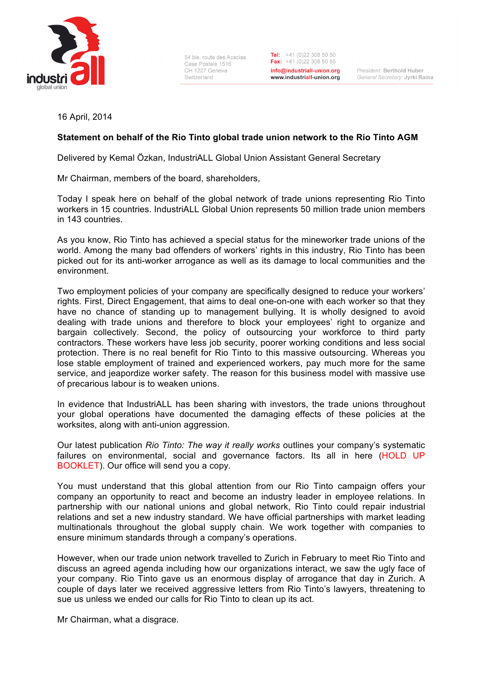

54 bis, route des Acacias Case Postale 1516 CH 1227 Geneva Switzerland

Tel:  $+41(0)223085050$ Fax:  $+41(0)223085055$ info@industriall-union.org www.industriall-union.org

President: Berthold Huber General Secretary: Jyrki Raina

16 April, 2014

## **Statement on behalf of the Rio Tinto global trade union network to the Rio Tinto AGM**

Delivered by Kemal Özkan, IndustriALL Global Union Assistant General Secretary

Mr Chairman, members of the board, shareholders,

Today I speak here on behalf of the global network of trade unions representing Rio Tinto workers in 15 countries. IndustriALL Global Union represents 50 million trade union members in 143 countries.

As you know, Rio Tinto has achieved a special status for the mineworker trade unions of the world. Among the many bad offenders of workers' rights in this industry, Rio Tinto has been picked out for its anti-worker arrogance as well as its damage to local communities and the environment.

Two employment policies of your company are specifically designed to reduce your workers' rights. First, Direct Engagement, that aims to deal one-on-one with each worker so that they have no chance of standing up to management bullying. It is wholly designed to avoid dealing with trade unions and therefore to block your employees' right to organize and bargain collectively. Second, the policy of outsourcing your workforce to third party contractors. These workers have less job security, poorer working conditions and less social protection. There is no real benefit for Rio Tinto to this massive outsourcing. Whereas you lose stable employment of trained and experienced workers, pay much more for the same service, and jeapordize worker safety. The reason for this business model with massive use of precarious labour is to weaken unions.

In evidence that IndustriALL has been sharing with investors, the trade unions throughout your global operations have documented the damaging effects of these policies at the worksites, along with anti-union aggression.

Our latest publication *Rio Tinto: The way it really works* outlines your company's systematic failures on environmental, social and governance factors. Its all in here (HOLD UP BOOKLET). Our office will send you a copy.

You must understand that this global attention from our Rio Tinto campaign offers your company an opportunity to react and become an industry leader in employee relations. In partnership with our national unions and global network, Rio Tinto could repair industrial relations and set a new industry standard. We have official partnerships with market leading multinationals throughout the global supply chain. We work together with companies to ensure minimum standards through a company's operations.

However, when our trade union network travelled to Zurich in February to meet Rio Tinto and discuss an agreed agenda including how our organizations interact, we saw the ugly face of your company. Rio Tinto gave us an enormous display of arrogance that day in Zurich. A couple of days later we received aggressive letters from Rio Tinto's lawyers, threatening to sue us unless we ended our calls for Rio Tinto to clean up its act.

Mr Chairman, what a disgrace.